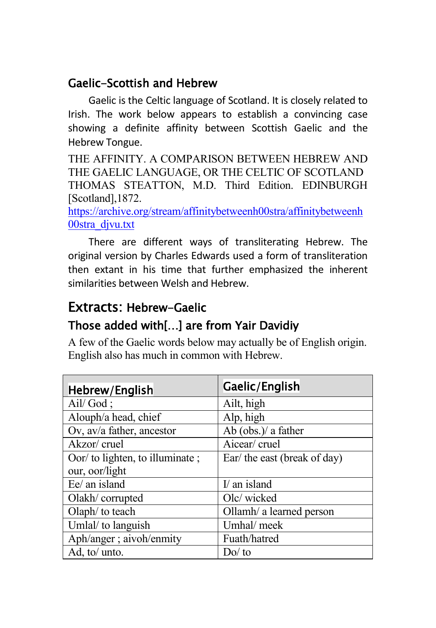## Gaelic-Scottish and Hebrew

Gaelic is the Celtic language of Scotland. It is closely related to Irish. The work below appears to establish a convincing case showing a definite affinity between Scottish Gaelic and the Hebrew Tongue.

THE AFFINITY. A COMPARISON BETWEEN HEBREW AND THE GAELIC LANGUAGE, OR THE CELTIC OF SCOTLAND THOMAS STEATTON, M.D. Third Edition. EDINBURGH [Scotland],1872.

[https://archive.org/stream/affinitybetweenh00stra/affinitybetweenh](https://archive.org/stream/affinitybetweenh00stra/affinitybetweenh00stra_djvu.txt) [00stra\\_djvu.txt](https://archive.org/stream/affinitybetweenh00stra/affinitybetweenh00stra_djvu.txt)

There are different ways of transliterating Hebrew. The original version by Charles Edwards used a form of transliteration then extant in his time that further emphasized the inherent similarities between Welsh and Hebrew.

## Extracts: Hebrew-Gaelic

## Those added with[…] are from Yair Davidiy

A few of the Gaelic words below may actually be of English origin. English also has much in common with Hebrew.

| Hebrew/English                  | Gaelic/English               |
|---------------------------------|------------------------------|
| Ail/ $God;$                     | Ailt, high                   |
| Alouph/a head, chief            | Alp, high                    |
| Ov, av/a father, ancestor       | Ab (obs.)/ a father          |
| Akzor/cruel                     | Aicear/ cruel                |
| Oor/ to lighten, to illuminate; | Ear/ the east (break of day) |
| our, oor/light                  |                              |
| Ee/ an island                   | $I/$ an island               |
| Olakh/corrupted                 | Olc/wicked                   |
| Olaph/ to teach                 | Ollamh/ a learned person     |
| Umlal/ to languish              | Umhal/ meek                  |
| Aph/anger ; aivoh/enmity        | Fuath/hatred                 |
| Ad, to/ unto.                   | Do/to                        |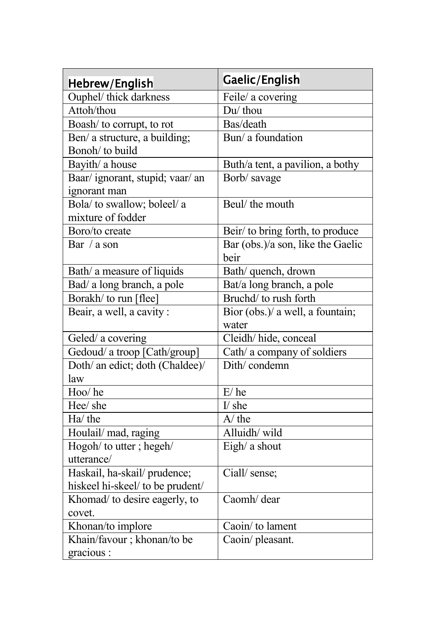| Hebrew/English                   | Gaelic/English                    |
|----------------------------------|-----------------------------------|
| Ouphel/ thick darkness           | Feile/ a covering                 |
| Attoh/thou                       | Du/thou                           |
| Boash/ to corrupt, to rot        | Bas/death                         |
| Ben/ a structure, a building;    | Bun/ a foundation                 |
| Bonoh/ to build                  |                                   |
| Bayith/ a house                  | Buth/a tent, a pavilion, a bothy  |
| Baar/ignorant, stupid; vaar/an   | Borb/savage                       |
| ignorant man                     |                                   |
| Bola/ to swallow; boleel/ a      | Beul/ the mouth                   |
| mixture of fodder                |                                   |
| Boro/to create                   | Beir/ to bring forth, to produce  |
| Bar $/$ a son                    | Bar (obs.)/a son, like the Gaelic |
|                                  | beir                              |
| Bath/ a measure of liquids       | Bath/ quench, drown               |
| Bad/ a long branch, a pole       | Bat/a long branch, a pole         |
| Borakh/ to run [flee]            | Bruchd/ to rush forth             |
| Beair, a well, a cavity:         | Bior (obs.)/ a well, a fountain;  |
|                                  | water                             |
| Geled/ a covering                | Cleidh/hide, conceal              |
| Gedoud/ a troop [Cath/group]     | Cath/ a company of soldiers       |
| Doth/ an edict; doth (Chaldee)/  | Dith/condemn                      |
| law                              |                                   |
| Hoo/he                           | E/he                              |
| Hee/ she                         | $I/$ she                          |
| Ha/ the                          | $A$ / the                         |
| Houlail/ mad, raging             | Alluidh/wild                      |
| Hogoh/ to utter; hegeh/          | Eigh/ a shout                     |
| utterance/                       |                                   |
| Haskail, ha-skail/prudence;      | Ciall/ sense;                     |
| hiskeel hi-skeel/ to be prudent/ |                                   |
| Khomad/ to desire eagerly, to    | Caomh/ dear                       |
| covet.                           |                                   |
| Khonan/to implore                | Caoin/ to lament                  |
| Khain/favour; khonan/to be       | Caoin/pleasant.                   |
| gracious :                       |                                   |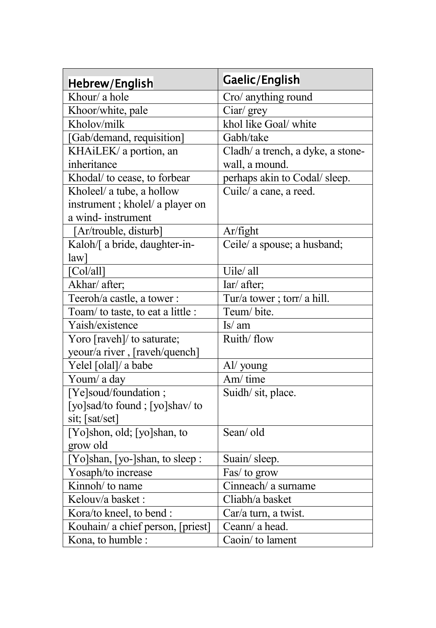| Hebrew/English                      | Gaelic/English                    |
|-------------------------------------|-----------------------------------|
| Khour/ a hole                       | Cro/ anything round               |
| Khoor/white, pale                   | Ciar/ grey                        |
| Kholov/milk                         | khol like Goal/ white             |
| [Gab/demand, requisition]           | Gabh/take                         |
| KHAiLEK/ a portion, an              | Cladh/ a trench, a dyke, a stone- |
| inheritance                         | wall, a mound.                    |
| Khodal/ to cease, to forbear        | perhaps akin to Codal/ sleep.     |
| Kholeel/ a tube, a hollow           | Cuilc/ a cane, a reed.            |
| instrument; kholel/ a player on     |                                   |
| a wind-instrument                   |                                   |
| [Ar/trouble, disturb]               | Ar/fight                          |
| Kaloh/[ a bride, daughter-in-       | Ceile/ a spouse; a husband;       |
| $law$ ]                             |                                   |
| [Col/all]                           | Uile/ all                         |
| Akhar/ after;                       | Iar/ after;                       |
| Teeroh/a castle, a tower:           | Tur/a tower ; torr/ a hill.       |
| Toam/ to taste, to eat a little :   | Teum/bite.                        |
| Yaish/existence                     | Is/ am                            |
| Yoro [raveh]/ to saturate;          | Ruith/flow                        |
| yeour/a river, [raveh/quench]       |                                   |
| Yelel [olal]/ a babe                | Al/ young                         |
| Youm/ a day                         | Am/time                           |
| [Ye]soud/foundation;                | Suidh/ sit, place.                |
| [yo]sad/to found ; [yo]shav/ to     |                                   |
| sit; [sat/set]                      |                                   |
| [Yo]shon, old; [yo]shan, to         | Sean/old                          |
| grow old                            |                                   |
| [Yo]shan, [yo-]shan, to sleep :     | Suain/sleep.                      |
| Yosaph/to increase                  | Fas/ to grow                      |
| $\overline{\text{K}}$ innoh/to name | Cinneach/ a surname               |
| Kelouv/a basket:                    | Cliabh/a basket                   |
| Kora/to kneel, to bend:             | Car/a turn, a twist.              |
| Kouhain/ a chief person, [priest]   | Ceann/ a head.                    |
| Kona, to humble :                   | Caoin/ to lament                  |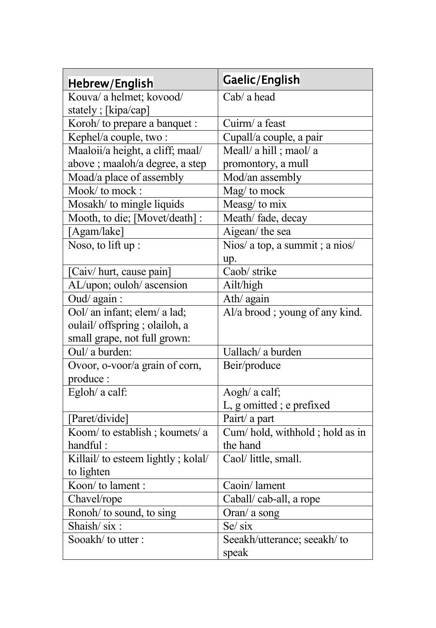| Hebrew/English                     | Gaelic/English                  |
|------------------------------------|---------------------------------|
| Kouva/ a helmet; kovood/           | Cab/ a head                     |
| stately; [kipa/cap]                |                                 |
| Koroh/ to prepare a banquet :      | Cuirm/ a feast                  |
| Kephel/a couple, two:              | Cupall/a couple, a pair         |
| Maaloii/a height, a cliff; maal/   | Meall/ a hill; maol/ a          |
| above ; maaloh/a degree, a step    | promontory, a mull              |
| Moad/a place of assembly           | Mod/an assembly                 |
| Mook/to mock:                      | Mag/to mock                     |
| Mosakh/ to mingle liquids          | Measg/ to mix                   |
| Mooth, to die; [Movet/death] :     | Meath/fade, decay               |
| [Agam/lake]                        | Aigean/ the sea                 |
| Noso, to lift up:                  | Nios/ a top, a summit ; a nios/ |
|                                    | up.                             |
| [Caiv/hurt, cause pain]            | Caob/ strike                    |
| AL/upon; ouloh/ ascension          | Ailt/high                       |
| Oud/ again :                       | Ath/ again                      |
| Ool/ an infant; elem/ a lad;       | Al/a brood; young of any kind.  |
| oulail/ offspring ; olailoh, a     |                                 |
| small grape, not full grown:       |                                 |
| Oul/ a burden:                     | Uallach/ a burden               |
| Ovoor, o-voor/a grain of corn,     | Beir/produce                    |
| produce:                           |                                 |
| Egloh/ a calf:                     | Aogh/ a calf;                   |
|                                    | L, g omitted; e prefixed        |
| [Paret/divide]                     | Pairt/ a part                   |
| Koom/ to establish; koumets/ a     | Cum/hold, withhold; hold as in  |
| handful:                           | the hand                        |
| Killail/ to esteem lightly; kolal/ | Caol/ little, small.            |
| to lighten                         |                                 |
| Koon/ to lament:                   | Caoin/lament                    |
| Chavel/rope                        | Caball/cab-all, a rope          |
| Ronoh/ to sound, to sing           | Oran/ a song                    |
| Shaish/six:                        | Se/ six                         |
| Sooakh/ to utter:                  | Seeakh/utterance; seeakh/ to    |
|                                    | speak                           |